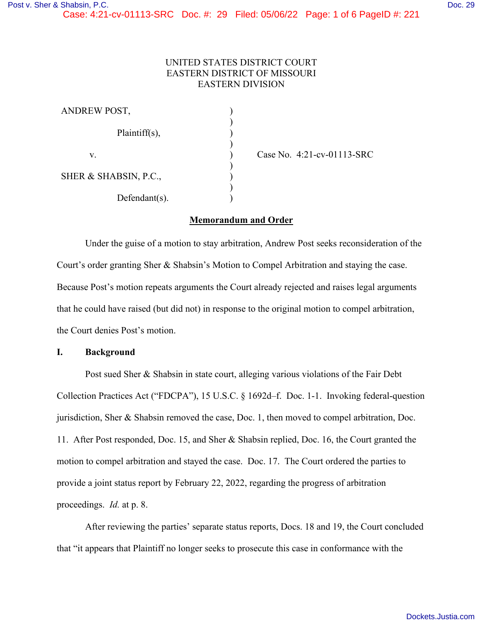# UNITED STATES DISTRICT COURT EASTERN DISTRICT OF MISSOURI EASTERN DIVISION

| ANDREW POST,          |  |
|-----------------------|--|
| Plaintiff(s),         |  |
| v.                    |  |
| SHER & SHABSIN, P.C., |  |
| $Defendant(s)$ .      |  |

Case No. 4:21-cv-01113-SRC

# **Memorandum and Order**

 Under the guise of a motion to stay arbitration, Andrew Post seeks reconsideration of the Court's order granting Sher & Shabsin's Motion to Compel Arbitration and staying the case. Because Post's motion repeats arguments the Court already rejected and raises legal arguments that he could have raised (but did not) in response to the original motion to compel arbitration, the Court denies Post's motion.

## **I. Background**

Post sued Sher & Shabsin in state court, alleging various violations of the Fair Debt Collection Practices Act ("FDCPA"), 15 U.S.C. § 1692d–f. Doc. 1-1. Invoking federal-question jurisdiction, Sher & Shabsin removed the case, Doc. 1, then moved to compel arbitration, Doc. 11. After Post responded, Doc. 15, and Sher & Shabsin replied, Doc. 16, the Court granted the motion to compel arbitration and stayed the case. Doc. 17. The Court ordered the parties to provide a joint status report by February 22, 2022, regarding the progress of arbitration proceedings. *Id.* at p. 8.

After reviewing the parties' separate status reports, Docs. 18 and 19, the Court concluded that "it appears that Plaintiff no longer seeks to prosecute this case in conformance with the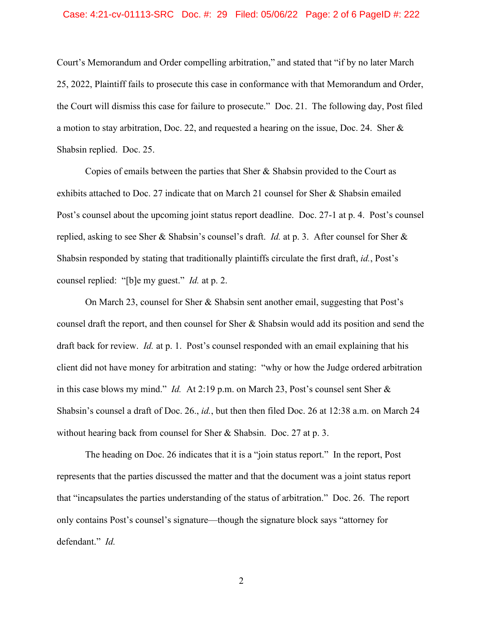### Case: 4:21-cv-01113-SRC Doc. #: 29 Filed: 05/06/22 Page: 2 of 6 PageID #: 222

Court's Memorandum and Order compelling arbitration," and stated that "if by no later March 25, 2022, Plaintiff fails to prosecute this case in conformance with that Memorandum and Order, the Court will dismiss this case for failure to prosecute." Doc. 21. The following day, Post filed a motion to stay arbitration, Doc. 22, and requested a hearing on the issue, Doc. 24. Sher & Shabsin replied. Doc. 25.

Copies of emails between the parties that Sher & Shabsin provided to the Court as exhibits attached to Doc. 27 indicate that on March 21 counsel for Sher & Shabsin emailed Post's counsel about the upcoming joint status report deadline. Doc. 27-1 at p. 4. Post's counsel replied, asking to see Sher & Shabsin's counsel's draft. *Id.* at p. 3. After counsel for Sher & Shabsin responded by stating that traditionally plaintiffs circulate the first draft, *id.*, Post's counsel replied: "[b]e my guest." *Id.* at p. 2.

On March 23, counsel for Sher & Shabsin sent another email, suggesting that Post's counsel draft the report, and then counsel for Sher & Shabsin would add its position and send the draft back for review. *Id.* at p. 1. Post's counsel responded with an email explaining that his client did not have money for arbitration and stating: "why or how the Judge ordered arbitration in this case blows my mind." *Id.* At 2:19 p.m. on March 23, Post's counsel sent Sher & Shabsin's counsel a draft of Doc. 26., *id.*, but then then filed Doc. 26 at 12:38 a.m. on March 24 without hearing back from counsel for Sher & Shabsin. Doc. 27 at p. 3.

The heading on Doc. 26 indicates that it is a "join status report." In the report, Post represents that the parties discussed the matter and that the document was a joint status report that "incapsulates the parties understanding of the status of arbitration." Doc. 26. The report only contains Post's counsel's signature—though the signature block says "attorney for defendant." *Id.*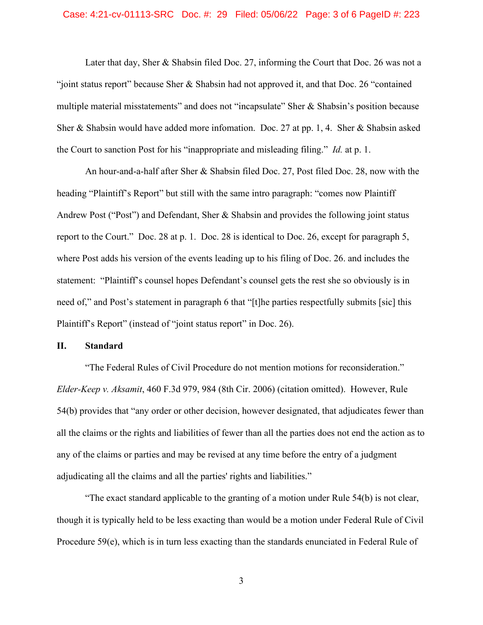### Case: 4:21-cv-01113-SRC Doc. #: 29 Filed: 05/06/22 Page: 3 of 6 PageID #: 223

Later that day, Sher & Shabsin filed Doc. 27, informing the Court that Doc. 26 was not a "joint status report" because Sher & Shabsin had not approved it, and that Doc. 26 "contained multiple material misstatements" and does not "incapsulate" Sher & Shabsin's position because Sher & Shabsin would have added more infomation. Doc. 27 at pp. 1, 4. Sher & Shabsin asked the Court to sanction Post for his "inappropriate and misleading filing." *Id.* at p. 1.

An hour-and-a-half after Sher & Shabsin filed Doc. 27, Post filed Doc. 28, now with the heading "Plaintiff's Report" but still with the same intro paragraph: "comes now Plaintiff Andrew Post ("Post") and Defendant, Sher & Shabsin and provides the following joint status report to the Court." Doc. 28 at p. 1. Doc. 28 is identical to Doc. 26, except for paragraph 5, where Post adds his version of the events leading up to his filing of Doc. 26. and includes the statement: "Plaintiff's counsel hopes Defendant's counsel gets the rest she so obviously is in need of," and Post's statement in paragraph 6 that "[t]he parties respectfully submits [sic] this Plaintiff's Report" (instead of "joint status report" in Doc. 26).

## **II. Standard**

"The Federal Rules of Civil Procedure do not mention motions for reconsideration." *Elder-Keep v. Aksamit*, 460 F.3d 979, 984 (8th Cir. 2006) (citation omitted). However, Rule 54(b) provides that "any order or other decision, however designated, that adjudicates fewer than all the claims or the rights and liabilities of fewer than all the parties does not end the action as to any of the claims or parties and may be revised at any time before the entry of a judgment adjudicating all the claims and all the parties' rights and liabilities."

"The exact standard applicable to the granting of a motion under Rule 54(b) is not clear, though it is typically held to be less exacting than would be a motion under Federal Rule of Civil Procedure 59(e), which is in turn less exacting than the standards enunciated in Federal Rule of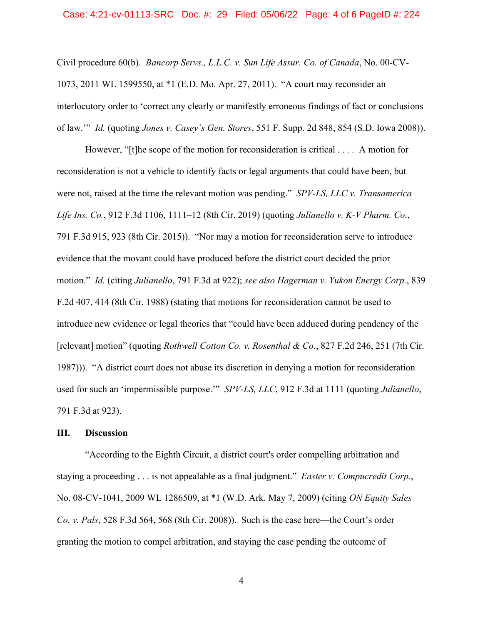### Case: 4:21-cv-01113-SRC Doc. #: 29 Filed: 05/06/22 Page: 4 of 6 PageID #: 224

Civil procedure 60(b). *Bancorp Servs., L.L.C. v. Sun Life Assur. Co. of Canada*, No. 00-CV-1073, 2011 WL 1599550, at \*1 (E.D. Mo. Apr. 27, 2011). "A court may reconsider an interlocutory order to 'correct any clearly or manifestly erroneous findings of fact or conclusions of law.'" *Id.* (quoting *Jones v. Casey's Gen. Stores*, 551 F. Supp. 2d 848, 854 (S.D. Iowa 2008)).

However, "[t]he scope of the motion for reconsideration is critical . . . . A motion for reconsideration is not a vehicle to identify facts or legal arguments that could have been, but were not, raised at the time the relevant motion was pending." *SPV-LS, LLC v. Transamerica Life Ins. Co.*, 912 F.3d 1106, 1111–12 (8th Cir. 2019) (quoting *Julianello v. K-V Pharm. Co.*, 791 F.3d 915, 923 (8th Cir. 2015)). "Nor may a motion for reconsideration serve to introduce evidence that the movant could have produced before the district court decided the prior motion." *Id.* (citing *Julianello*, 791 F.3d at 922); *see also Hagerman v. Yukon Energy Corp.*, 839 F.2d 407, 414 (8th Cir. 1988) (stating that motions for reconsideration cannot be used to introduce new evidence or legal theories that "could have been adduced during pendency of the [relevant] motion" (quoting *Rothwell Cotton Co. v. Rosenthal & Co.*, 827 F.2d 246, 251 (7th Cir. 1987))). "A district court does not abuse its discretion in denying a motion for reconsideration used for such an 'impermissible purpose.'" *SPV-LS, LLC*, 912 F.3d at 1111 (quoting *Julianello*, 791 F.3d at 923).

# **III. Discussion**

"According to the Eighth Circuit, a district court's order compelling arbitration and staying a proceeding . . . is not appealable as a final judgment." *Easter v. Compucredit Corp.*, No. 08-CV-1041, 2009 WL 1286509, at \*1 (W.D. Ark. May 7, 2009) (citing *ON Equity Sales Co. v. Pals*, 528 F.3d 564, 568 (8th Cir. 2008)). Such is the case here—the Court's order granting the motion to compel arbitration, and staying the case pending the outcome of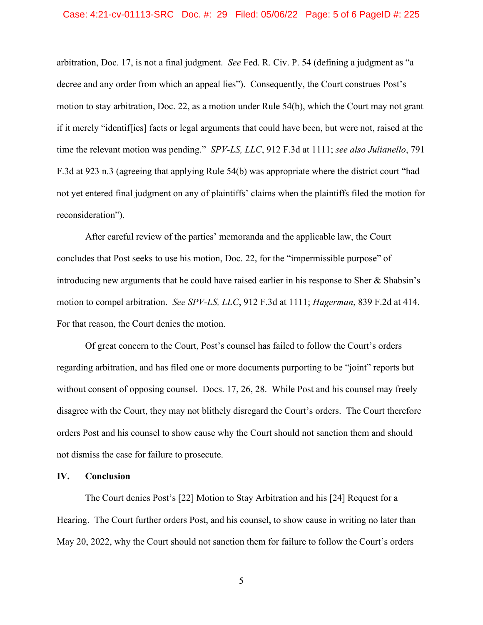### Case: 4:21-cv-01113-SRC Doc. #: 29 Filed: 05/06/22 Page: 5 of 6 PageID #: 225

arbitration, Doc. 17, is not a final judgment. *See* Fed. R. Civ. P. 54 (defining a judgment as "a decree and any order from which an appeal lies"). Consequently, the Court construes Post's motion to stay arbitration, Doc. 22, as a motion under Rule 54(b), which the Court may not grant if it merely "identif[ies] facts or legal arguments that could have been, but were not, raised at the time the relevant motion was pending." *SPV-LS, LLC*, 912 F.3d at 1111; *see also Julianello*, 791 F.3d at 923 n.3 (agreeing that applying Rule 54(b) was appropriate where the district court "had not yet entered final judgment on any of plaintiffs' claims when the plaintiffs filed the motion for reconsideration").

After careful review of the parties' memoranda and the applicable law, the Court concludes that Post seeks to use his motion, Doc. 22, for the "impermissible purpose" of introducing new arguments that he could have raised earlier in his response to Sher & Shabsin's motion to compel arbitration. *See SPV-LS, LLC*, 912 F.3d at 1111; *Hagerman*, 839 F.2d at 414. For that reason, the Court denies the motion.

Of great concern to the Court, Post's counsel has failed to follow the Court's orders regarding arbitration, and has filed one or more documents purporting to be "joint" reports but without consent of opposing counsel. Docs. 17, 26, 28. While Post and his counsel may freely disagree with the Court, they may not blithely disregard the Court's orders. The Court therefore orders Post and his counsel to show cause why the Court should not sanction them and should not dismiss the case for failure to prosecute.

## **IV. Conclusion**

The Court denies Post's [22] Motion to Stay Arbitration and his [24] Request for a Hearing. The Court further orders Post, and his counsel, to show cause in writing no later than May 20, 2022, why the Court should not sanction them for failure to follow the Court's orders